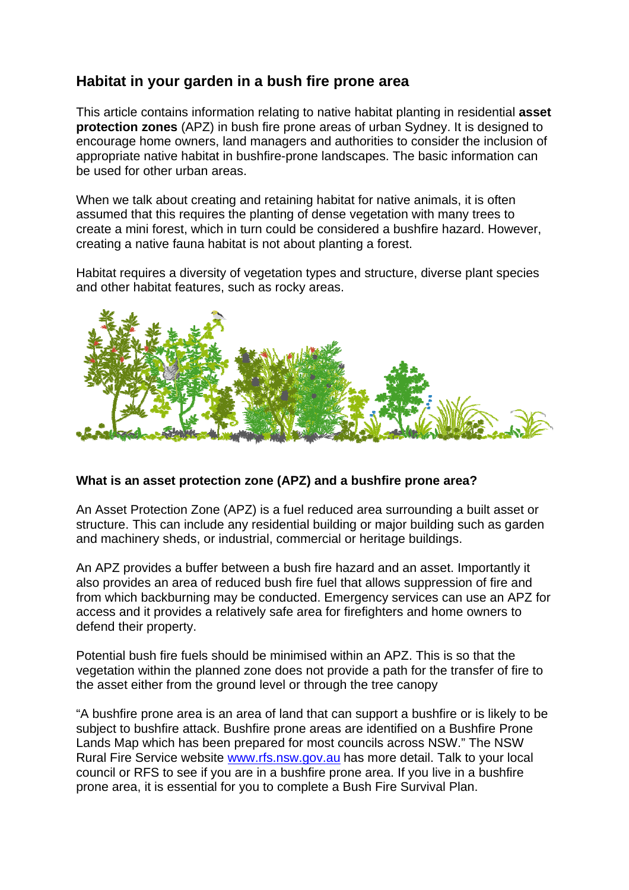# **Habitat in your garden in a bush fire prone area**

This article contains information relating to native habitat planting in residential **asset protection zones** (APZ) in bush fire prone areas of urban Sydney. It is designed to encourage home owners, land managers and authorities to consider the inclusion of appropriate native habitat in bushfire-prone landscapes. The basic information can be used for other urban areas.

When we talk about creating and retaining habitat for native animals, it is often assumed that this requires the planting of dense vegetation with many trees to create a mini forest, which in turn could be considered a bushfire hazard. However, creating a native fauna habitat is not about planting a forest.

Habitat requires a diversity of vegetation types and structure, diverse plant species and other habitat features, such as rocky areas.



### **What is an asset protection zone (APZ) and a bushfire prone area?**

An Asset Protection Zone (APZ) is a fuel reduced area surrounding a built asset or structure. This can include any residential building or major building such as garden and machinery sheds, or industrial, commercial or heritage buildings.

An APZ provides a buffer between a bush fire hazard and an asset. Importantly it also provides an area of reduced bush fire fuel that allows suppression of fire and from which backburning may be conducted. Emergency services can use an APZ for access and it provides a relatively safe area for firefighters and home owners to defend their property.

Potential bush fire fuels should be minimised within an APZ. This is so that the vegetation within the planned zone does not provide a path for the transfer of fire to the asset either from the ground level or through the tree canopy

"A bushfire prone area is an area of land that can support a bushfire or is likely to be subject to bushfire attack. Bushfire prone areas are identified on a Bushfire Prone Lands Map which has been prepared for most councils across NSW." The NSW Rural Fire Service website www.rfs.nsw.gov.au has more detail. Talk to your local council or RFS to see if you are in a bushfire prone area. If you live in a bushfire prone area, it is essential for you to complete a Bush Fire Survival Plan.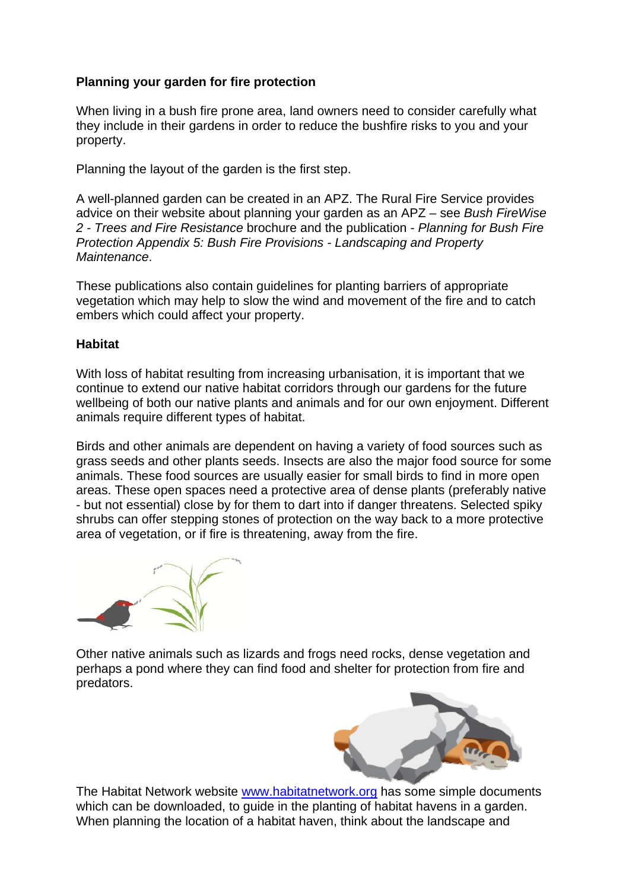# **Planning your garden for fire protection**

When living in a bush fire prone area, land owners need to consider carefully what they include in their gardens in order to reduce the bushfire risks to you and your property.

Planning the layout of the garden is the first step.

A well-planned garden can be created in an APZ. The Rural Fire Service provides advice on their website about planning your garden as an APZ – see *Bush FireWise 2 - Trees and Fire Resistance* brochure and the publication - *Planning for Bush Fire Protection Appendix 5: Bush Fire Provisions - Landscaping and Property Maintenance*.

These publications also contain guidelines for planting barriers of appropriate vegetation which may help to slow the wind and movement of the fire and to catch embers which could affect your property.

# **Habitat**

With loss of habitat resulting from increasing urbanisation, it is important that we continue to extend our native habitat corridors through our gardens for the future wellbeing of both our native plants and animals and for our own enjoyment. Different animals require different types of habitat.

Birds and other animals are dependent on having a variety of food sources such as grass seeds and other plants seeds. Insects are also the major food source for some animals. These food sources are usually easier for small birds to find in more open areas. These open spaces need a protective area of dense plants (preferably native - but not essential) close by for them to dart into if danger threatens. Selected spiky shrubs can offer stepping stones of protection on the way back to a more protective area of vegetation, or if fire is threatening, away from the fire.

Other native animals such as lizards and frogs need rocks, dense vegetation and perhaps a pond where they can find food and shelter for protection from fire and predators.



The Habitat Network website www.habitatnetwork.org has some simple documents which can be downloaded, to quide in the planting of habitat havens in a garden. When planning the location of a habitat haven, think about the landscape and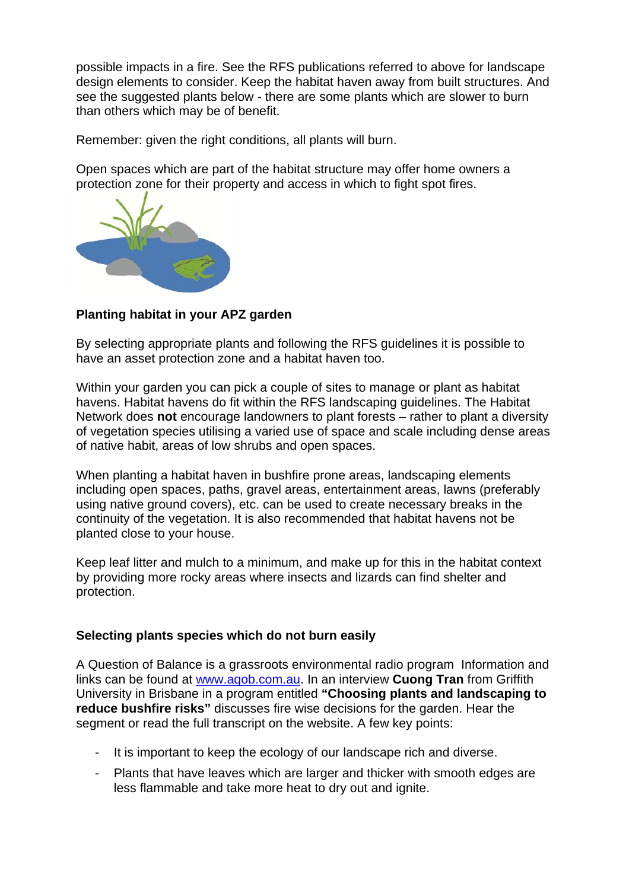possible impacts in a fire. See the RFS publications referred to above for landscape design elements to consider. Keep the habitat haven away from built structures. And see the suggested plants below - there are some plants which are slower to burn than others which may be of benefit.

Remember: given the right conditions, all plants will burn.

Open spaces which are part of the habitat structure may offer home owners a protection zone for their property and access in which to fight spot fires.



# **Planting habitat in your APZ garden**

By selecting appropriate plants and following the RFS guidelines it is possible to have an asset protection zone and a habitat haven too.

Within your garden you can pick a couple of sites to manage or plant as habitat havens. Habitat havens do fit within the RFS landscaping guidelines. The Habitat Network does **not** encourage landowners to plant forests – rather to plant a diversity of vegetation species utilising a varied use of space and scale including dense areas of native habit, areas of low shrubs and open spaces.

When planting a habitat haven in bushfire prone areas, landscaping elements including open spaces, paths, gravel areas, entertainment areas, lawns (preferably using native ground covers), etc. can be used to create necessary breaks in the continuity of the vegetation. It is also recommended that habitat havens not be planted close to your house.

Keep leaf litter and mulch to a minimum, and make up for this in the habitat context by providing more rocky areas where insects and lizards can find shelter and protection.

### **Selecting plants species which do not burn easily**

A Question of Balance is a grassroots environmental radio program Information and links can be found at www.aqob.com.au. In an interview **Cuong Tran** from Griffith University in Brisbane in a program entitled **"Choosing plants and landscaping to reduce bushfire risks"** discusses fire wise decisions for the garden. Hear the segment or read the full transcript on the website. A few key points:

- It is important to keep the ecology of our landscape rich and diverse.
- Plants that have leaves which are larger and thicker with smooth edges are less flammable and take more heat to dry out and ignite.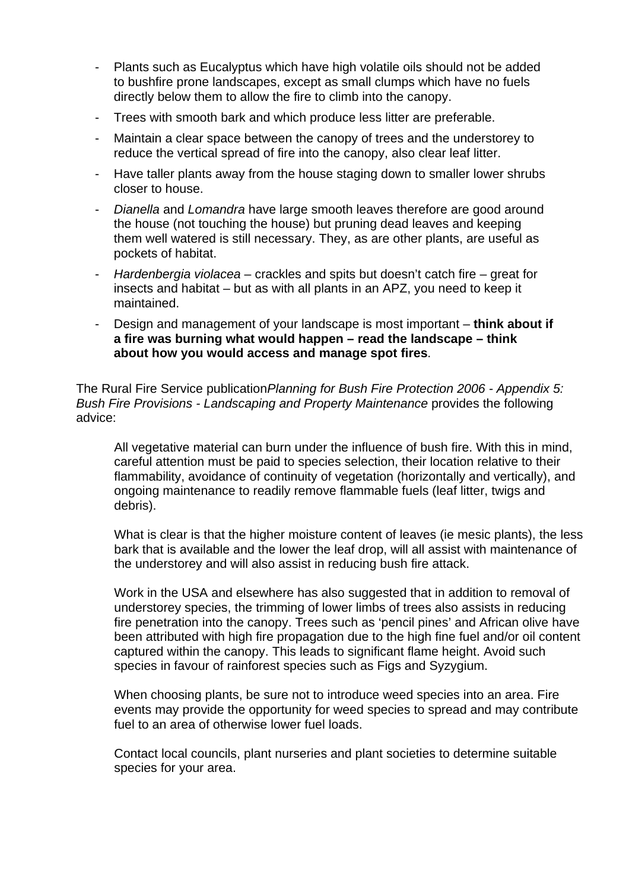- Plants such as Eucalyptus which have high volatile oils should not be added to bushfire prone landscapes, except as small clumps which have no fuels directly below them to allow the fire to climb into the canopy.
- Trees with smooth bark and which produce less litter are preferable.
- Maintain a clear space between the canopy of trees and the understorey to reduce the vertical spread of fire into the canopy, also clear leaf litter.
- Have taller plants away from the house staging down to smaller lower shrubs closer to house.
- *Dianella* and *Lomandra* have large smooth leaves therefore are good around the house (not touching the house) but pruning dead leaves and keeping them well watered is still necessary. They, as are other plants, are useful as pockets of habitat.
- *Hardenbergia violacea* crackles and spits but doesn't catch fire great for insects and habitat – but as with all plants in an APZ, you need to keep it maintained.
- Design and management of your landscape is most important **think about if a fire was burning what would happen – read the landscape – think about how you would access and manage spot fires**.

The Rural Fire Service publication*Planning for Bush Fire Protection 2006 - Appendix 5: Bush Fire Provisions - Landscaping and Property Maintenance* provides the following advice:

All vegetative material can burn under the influence of bush fire. With this in mind, careful attention must be paid to species selection, their location relative to their flammability, avoidance of continuity of vegetation (horizontally and vertically), and ongoing maintenance to readily remove flammable fuels (leaf litter, twigs and debris).

What is clear is that the higher moisture content of leaves (ie mesic plants), the less bark that is available and the lower the leaf drop, will all assist with maintenance of the understorey and will also assist in reducing bush fire attack.

Work in the USA and elsewhere has also suggested that in addition to removal of understorey species, the trimming of lower limbs of trees also assists in reducing fire penetration into the canopy. Trees such as 'pencil pines' and African olive have been attributed with high fire propagation due to the high fine fuel and/or oil content captured within the canopy. This leads to significant flame height. Avoid such species in favour of rainforest species such as Figs and Syzygium.

When choosing plants, be sure not to introduce weed species into an area. Fire events may provide the opportunity for weed species to spread and may contribute fuel to an area of otherwise lower fuel loads.

Contact local councils, plant nurseries and plant societies to determine suitable species for your area.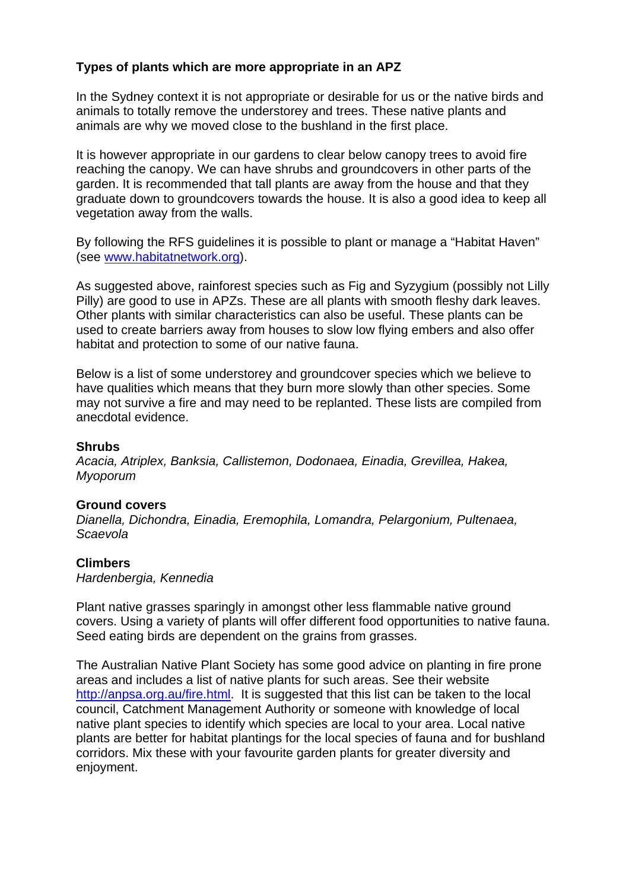# **Types of plants which are more appropriate in an APZ**

In the Sydney context it is not appropriate or desirable for us or the native birds and animals to totally remove the understorey and trees. These native plants and animals are why we moved close to the bushland in the first place.

It is however appropriate in our gardens to clear below canopy trees to avoid fire reaching the canopy. We can have shrubs and groundcovers in other parts of the garden. It is recommended that tall plants are away from the house and that they graduate down to groundcovers towards the house. It is also a good idea to keep all vegetation away from the walls.

By following the RFS guidelines it is possible to plant or manage a "Habitat Haven" (see www.habitatnetwork.org).

As suggested above, rainforest species such as Fig and Syzygium (possibly not Lilly Pilly) are good to use in APZs. These are all plants with smooth fleshy dark leaves. Other plants with similar characteristics can also be useful. These plants can be used to create barriers away from houses to slow low flying embers and also offer habitat and protection to some of our native fauna.

Below is a list of some understorey and groundcover species which we believe to have qualities which means that they burn more slowly than other species. Some may not survive a fire and may need to be replanted. These lists are compiled from anecdotal evidence.

#### **Shrubs**

*Acacia, Atriplex, Banksia, Callistemon, Dodonaea, Einadia, Grevillea, Hakea, Myoporum* 

### **Ground covers**

*Dianella, Dichondra, Einadia, Eremophila, Lomandra, Pelargonium, Pultenaea, Scaevola* 

### **Climbers**

*Hardenbergia, Kennedia* 

Plant native grasses sparingly in amongst other less flammable native ground covers. Using a variety of plants will offer different food opportunities to native fauna. Seed eating birds are dependent on the grains from grasses.

The Australian Native Plant Society has some good advice on planting in fire prone areas and includes a list of native plants for such areas. See their website http://anpsa.org.au/fire.html. It is suggested that this list can be taken to the local council, Catchment Management Authority or someone with knowledge of local native plant species to identify which species are local to your area. Local native plants are better for habitat plantings for the local species of fauna and for bushland corridors. Mix these with your favourite garden plants for greater diversity and enjoyment.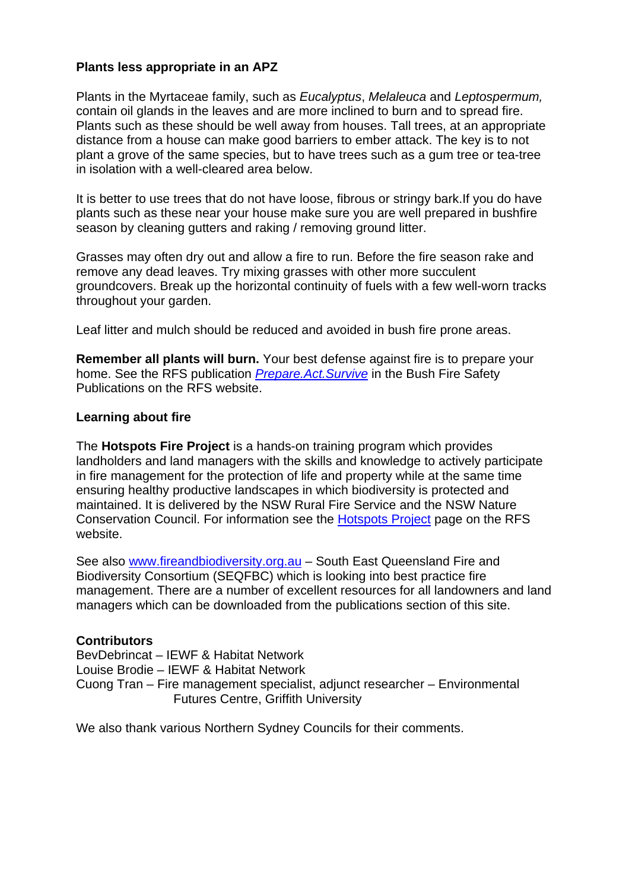# **Plants less appropriate in an APZ**

Plants in the Myrtaceae family, such as *Eucalyptus*, *Melaleuca* and *Leptospermum,* contain oil glands in the leaves and are more inclined to burn and to spread fire. Plants such as these should be well away from houses. Tall trees, at an appropriate distance from a house can make good barriers to ember attack. The key is to not plant a grove of the same species, but to have trees such as a gum tree or tea-tree in isolation with a well-cleared area below.

It is better to use trees that do not have loose, fibrous or stringy bark.If you do have plants such as these near your house make sure you are well prepared in bushfire season by cleaning gutters and raking / removing ground litter.

Grasses may often dry out and allow a fire to run. Before the fire season rake and remove any dead leaves. Try mixing grasses with other more succulent groundcovers. Break up the horizontal continuity of fuels with a few well-worn tracks throughout your garden.

Leaf litter and mulch should be reduced and avoided in bush fire prone areas.

**Remember all plants will burn.** Your best defense against fire is to prepare your home. See the RFS publication *Prepare.Act.Survive* in the Bush Fire Safety Publications on the RFS website.

### **Learning about fire**

The **Hotspots Fire Project** is a hands-on training program which provides landholders and land managers with the skills and knowledge to actively participate in fire management for the protection of life and property while at the same time ensuring healthy productive landscapes in which biodiversity is protected and maintained. It is delivered by the NSW Rural Fire Service and the NSW Nature Conservation Council. For information see the Hotspots Project page on the RFS website.

See also www.fireandbiodiversity.org.au – South East Queensland Fire and Biodiversity Consortium (SEQFBC) which is looking into best practice fire management. There are a number of excellent resources for all landowners and land managers which can be downloaded from the publications section of this site.

### **Contributors**

BevDebrincat – IEWF & Habitat Network Louise Brodie – IEWF & Habitat Network Cuong Tran – Fire management specialist, adjunct researcher – Environmental Futures Centre, Griffith University

We also thank various Northern Sydney Councils for their comments.